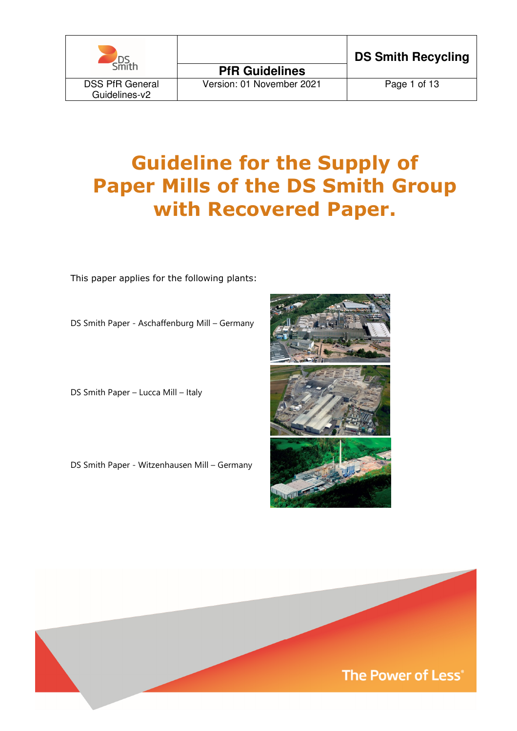

# Guideline for the Supply of Paper Mills of the DS Smith Group with Recovered Paper.

This paper applies for the following plants:

DS Smith Paper - Aschaffenburg Mill – Germany

DS Smith Paper – Lucca Mill – Italy

DS Smith Paper - Witzenhausen Mill – Germany



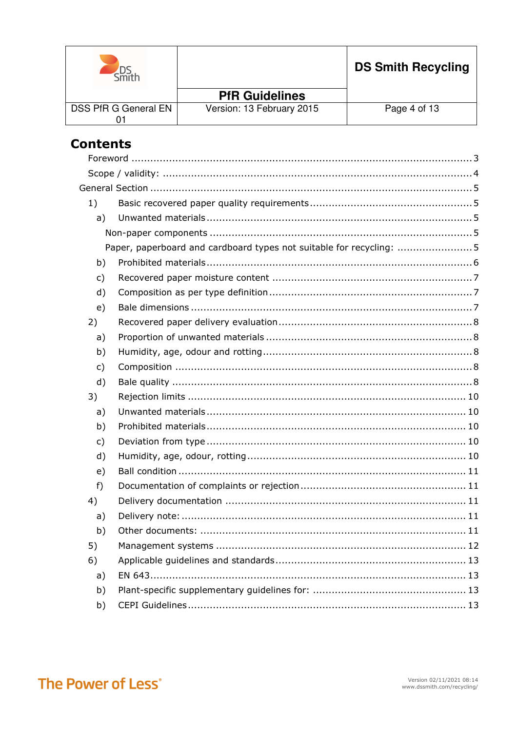| $\sim$ mith          |                           | <b>DS Smith Recycling</b> |
|----------------------|---------------------------|---------------------------|
|                      | <b>PfR Guidelines</b>     |                           |
| DSS PfR G General EN | Version: 13 February 2015 | Page 4 of 13              |

# **Contents**

| 1)           |                                                                     |
|--------------|---------------------------------------------------------------------|
| a)           |                                                                     |
|              |                                                                     |
|              | Paper, paperboard and cardboard types not suitable for recycling: 5 |
| b)           |                                                                     |
| $\mathsf{C}$ |                                                                     |
| d)           |                                                                     |
| e)           |                                                                     |
| 2)           |                                                                     |
| a)           |                                                                     |
| b)           |                                                                     |
| c)           |                                                                     |
| d)           |                                                                     |
| 3)           |                                                                     |
| a)           |                                                                     |
| b)           |                                                                     |
| c)           |                                                                     |
| d)           |                                                                     |
| e)           |                                                                     |
| $f$ )        |                                                                     |
| 4)           |                                                                     |
| a)           |                                                                     |
| b)           |                                                                     |
| 5)           |                                                                     |
| 6)           |                                                                     |
| a)           |                                                                     |
| b)           |                                                                     |
| b)           |                                                                     |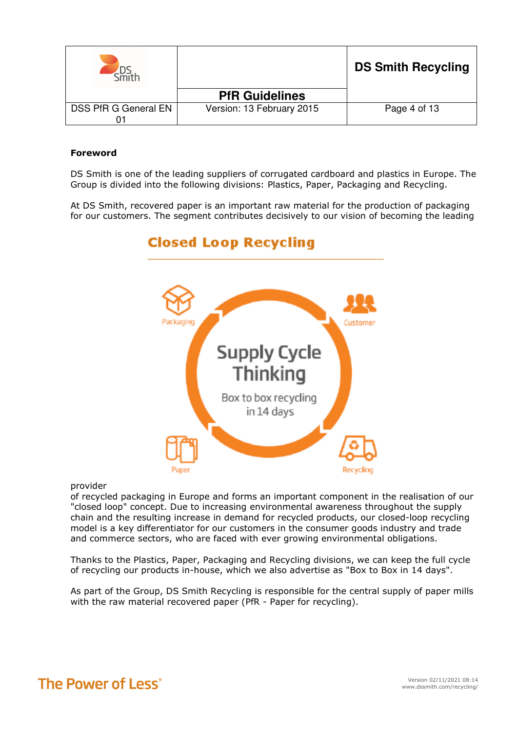|                      |                           | <b>DS Smith Recycling</b> |
|----------------------|---------------------------|---------------------------|
|                      | <b>PfR Guidelines</b>     |                           |
| DSS PfR G General EN | Version: 13 February 2015 | Page 4 of 13              |

### Foreword

DS Smith is one of the leading suppliers of corrugated cardboard and plastics in Europe. The Group is divided into the following divisions: Plastics, Paper, Packaging and Recycling.

At DS Smith, recovered paper is an important raw material for the production of packaging for our customers. The segment contributes decisively to our vision of becoming the leading

# **Closed Loop Recycling**



#### provider

of recycled packaging in Europe and forms an important component in the realisation of our "closed loop" concept. Due to increasing environmental awareness throughout the supply chain and the resulting increase in demand for recycled products, our closed-loop recycling model is a key differentiator for our customers in the consumer goods industry and trade and commerce sectors, who are faced with ever growing environmental obligations.

Thanks to the Plastics, Paper, Packaging and Recycling divisions, we can keep the full cycle of recycling our products in-house, which we also advertise as "Box to Box in 14 days".

As part of the Group, DS Smith Recycling is responsible for the central supply of paper mills with the raw material recovered paper (PfR - Paper for recycling).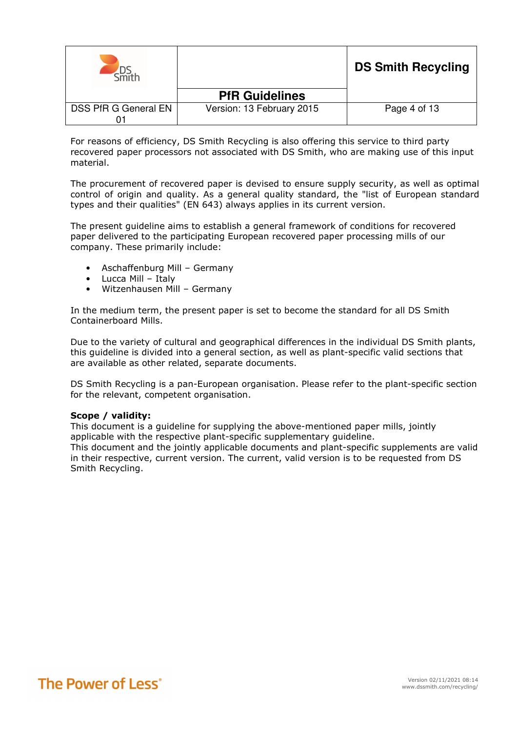|                      |                           | <b>DS Smith Recycling</b> |
|----------------------|---------------------------|---------------------------|
|                      | <b>PfR Guidelines</b>     |                           |
| DSS PfR G General EN | Version: 13 February 2015 | Page 4 of 13              |

For reasons of efficiency, DS Smith Recycling is also offering this service to third party recovered paper processors not associated with DS Smith, who are making use of this input material.

The procurement of recovered paper is devised to ensure supply security, as well as optimal control of origin and quality. As a general quality standard, the "list of European standard types and their qualities" (EN 643) always applies in its current version.

The present guideline aims to establish a general framework of conditions for recovered paper delivered to the participating European recovered paper processing mills of our company. These primarily include:

- Aschaffenburg Mill Germany
- Lucca Mill Italy
- Witzenhausen Mill Germany

In the medium term, the present paper is set to become the standard for all DS Smith Containerboard Mills.

Due to the variety of cultural and geographical differences in the individual DS Smith plants, this guideline is divided into a general section, as well as plant-specific valid sections that are available as other related, separate documents.

DS Smith Recycling is a pan-European organisation. Please refer to the plant-specific section for the relevant, competent organisation.

#### Scope / validity:

Smith Recycling.

This document is a guideline for supplying the above-mentioned paper mills, jointly applicable with the respective plant-specific supplementary guideline. This document and the jointly applicable documents and plant-specific supplements are valid in their respective, current version. The current, valid version is to be requested from DS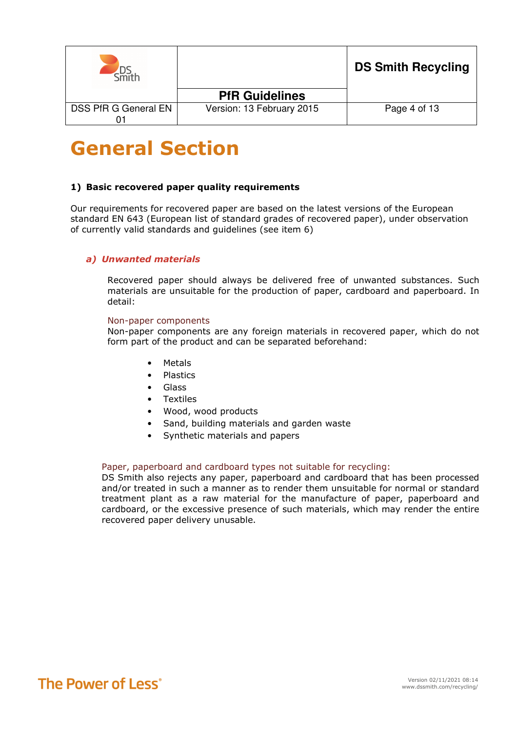|                      |                           | <b>DS Smith Recycling</b> |
|----------------------|---------------------------|---------------------------|
|                      | <b>PfR Guidelines</b>     |                           |
| DSS PfR G General EN | Version: 13 February 2015 | Page 4 of 13              |

# General Section

#### 1) Basic recovered paper quality requirements

Our requirements for recovered paper are based on the latest versions of the European standard EN 643 (European list of standard grades of recovered paper), under observation of currently valid standards and guidelines (see item 6)

# a) Unwanted materials

Recovered paper should always be delivered free of unwanted substances. Such materials are unsuitable for the production of paper, cardboard and paperboard. In detail:

#### Non-paper components

Non-paper components are any foreign materials in recovered paper, which do not form part of the product and can be separated beforehand:

- Metals
- Plastics
- Glass
- Textiles
- Wood, wood products
- Sand, building materials and garden waste
- Synthetic materials and papers

#### Paper, paperboard and cardboard types not suitable for recycling:

DS Smith also rejects any paper, paperboard and cardboard that has been processed and/or treated in such a manner as to render them unsuitable for normal or standard treatment plant as a raw material for the manufacture of paper, paperboard and cardboard, or the excessive presence of such materials, which may render the entire recovered paper delivery unusable.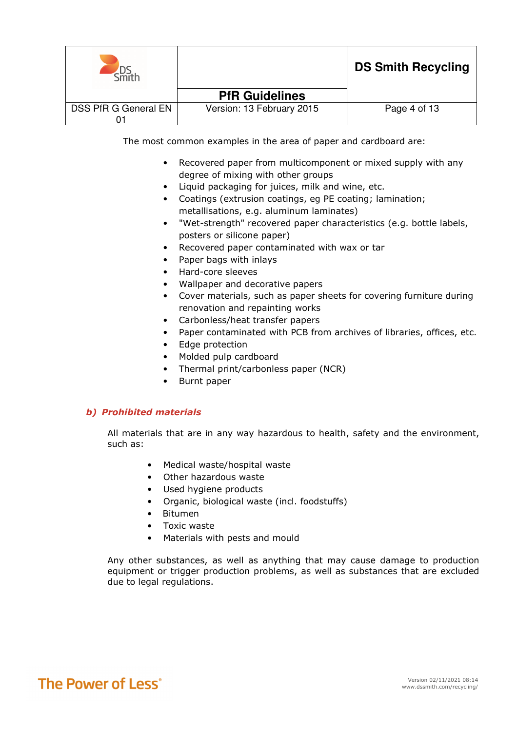|                      |                           | <b>DS Smith Recycling</b> |
|----------------------|---------------------------|---------------------------|
|                      | <b>PfR Guidelines</b>     |                           |
| DSS PfR G General EN | Version: 13 February 2015 | Page 4 of 13              |

The most common examples in the area of paper and cardboard are:

- Recovered paper from multicomponent or mixed supply with any degree of mixing with other groups
- Liquid packaging for juices, milk and wine, etc.
- Coatings (extrusion coatings, eg PE coating; lamination; metallisations, e.g. aluminum laminates)
- "Wet-strength" recovered paper characteristics (e.g. bottle labels, posters or silicone paper)
- Recovered paper contaminated with wax or tar
- Paper bags with inlays
- Hard-core sleeves
- Wallpaper and decorative papers
- Cover materials, such as paper sheets for covering furniture during renovation and repainting works
- Carbonless/heat transfer papers
- Paper contaminated with PCB from archives of libraries, offices, etc.
- Edge protection
- Molded pulp cardboard
- Thermal print/carbonless paper (NCR)
- Burnt paper

# b) Prohibited materials

All materials that are in any way hazardous to health, safety and the environment, such as:

- Medical waste/hospital waste
- Other hazardous waste
- Used hygiene products
- Organic, biological waste (incl. foodstuffs)
- Bitumen
- Toxic waste
- Materials with pests and mould

Any other substances, as well as anything that may cause damage to production equipment or trigger production problems, as well as substances that are excluded due to legal regulations.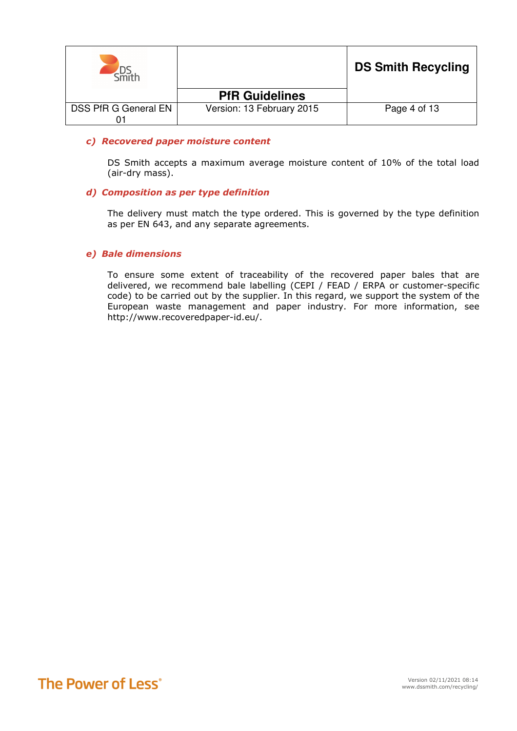|                      |                           | <b>DS Smith Recycling</b> |
|----------------------|---------------------------|---------------------------|
|                      | <b>PfR Guidelines</b>     |                           |
| DSS PfR G General EN | Version: 13 February 2015 | Page 4 of 13              |

#### c) Recovered paper moisture content

DS Smith accepts a maximum average moisture content of 10% of the total load (air-dry mass).

#### d) Composition as per type definition

The delivery must match the type ordered. This is governed by the type definition as per EN 643, and any separate agreements.

#### e) Bale dimensions

To ensure some extent of traceability of the recovered paper bales that are delivered, we recommend bale labelling (CEPI / FEAD / ERPA or customer-specific code) to be carried out by the supplier. In this regard, we support the system of the European waste management and paper industry. For more information, see http://www.recoveredpaper-id.eu/.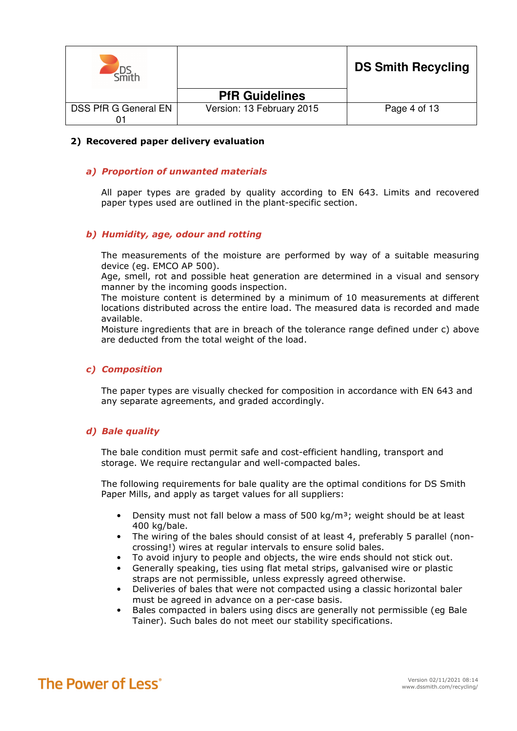|                      |                           | <b>DS Smith Recycling</b> |
|----------------------|---------------------------|---------------------------|
|                      | <b>PfR Guidelines</b>     |                           |
| DSS PfR G General EN | Version: 13 February 2015 | Page 4 of 13              |

#### 2) Recovered paper delivery evaluation

#### a) Proportion of unwanted materials

All paper types are graded by quality according to EN 643. Limits and recovered paper types used are outlined in the plant-specific section.

#### b) Humidity, age, odour and rotting

The measurements of the moisture are performed by way of a suitable measuring device (eg. EMCO AP 500).

Age, smell, rot and possible heat generation are determined in a visual and sensory manner by the incoming goods inspection.

The moisture content is determined by a minimum of 10 measurements at different locations distributed across the entire load. The measured data is recorded and made available.

Moisture ingredients that are in breach of the tolerance range defined under c) above are deducted from the total weight of the load.

#### c) Composition

The paper types are visually checked for composition in accordance with EN 643 and any separate agreements, and graded accordingly.

#### d) Bale quality

The bale condition must permit safe and cost-efficient handling, transport and storage. We require rectangular and well-compacted bales.

The following requirements for bale quality are the optimal conditions for DS Smith Paper Mills, and apply as target values for all suppliers:

- Density must not fall below a mass of 500 kg/m<sup>3</sup>; weight should be at least 400 kg/bale.
- The wiring of the bales should consist of at least 4, preferably 5 parallel (noncrossing!) wires at regular intervals to ensure solid bales.
- To avoid injury to people and objects, the wire ends should not stick out.
- Generally speaking, ties using flat metal strips, galvanised wire or plastic straps are not permissible, unless expressly agreed otherwise.
- Deliveries of bales that were not compacted using a classic horizontal baler must be agreed in advance on a per-case basis.
- Bales compacted in balers using discs are generally not permissible (eg Bale Tainer). Such bales do not meet our stability specifications.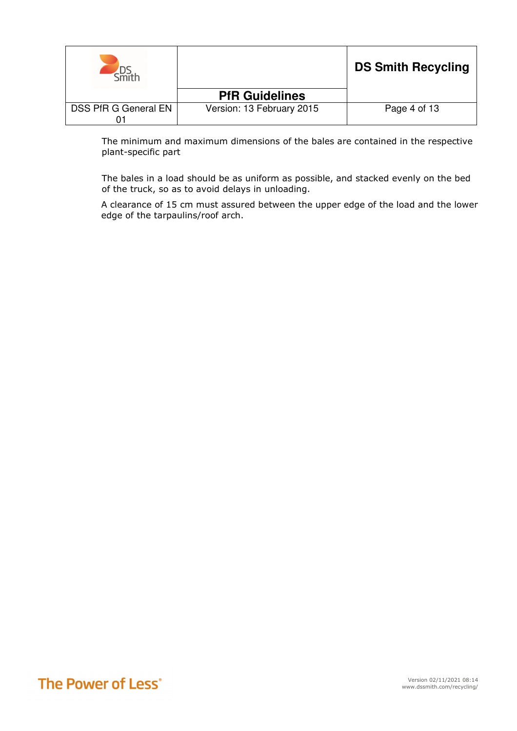|                      |                           | <b>DS Smith Recycling</b> |
|----------------------|---------------------------|---------------------------|
|                      | <b>PfR Guidelines</b>     |                           |
| DSS PfR G General EN | Version: 13 February 2015 | Page 4 of 13              |

The minimum and maximum dimensions of the bales are contained in the respective plant-specific part

The bales in a load should be as uniform as possible, and stacked evenly on the bed of the truck, so as to avoid delays in unloading.

A clearance of 15 cm must assured between the upper edge of the load and the lower edge of the tarpaulins/roof arch.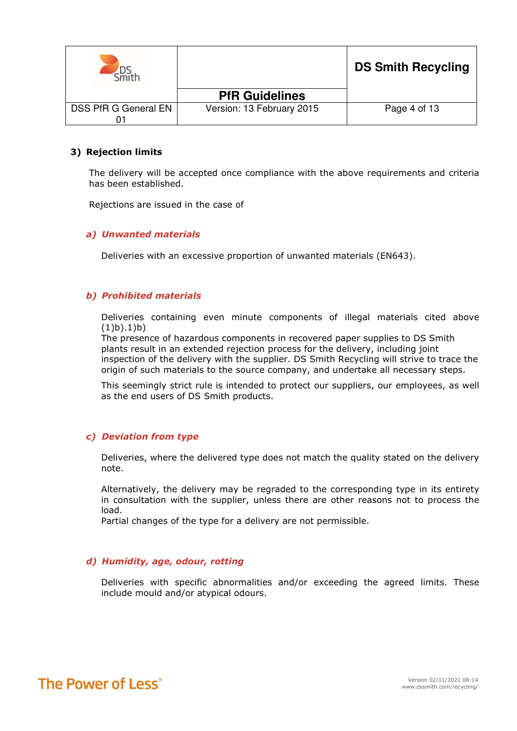|                      |                           | <b>DS Smith Recycling</b> |
|----------------------|---------------------------|---------------------------|
|                      | <b>PfR Guidelines</b>     |                           |
| DSS PfR G General EN | Version: 13 February 2015 | Page 4 of 13              |

#### 3) Rejection limits

The delivery will be accepted once compliance with the above requirements and criteria has been established.

Rejections are issued in the case of

#### a) Unwanted materials

Deliveries with an excessive proportion of unwanted materials (EN643).

#### b) Prohibited materials

Deliveries containing even minute components of illegal materials cited above  $(1)b)$ .1)b)

The presence of hazardous components in recovered paper supplies to DS Smith plants result in an extended rejection process for the delivery, including joint inspection of the delivery with the supplier. DS Smith Recycling will strive to trace the origin of such materials to the source company, and undertake all necessary steps.

This seemingly strict rule is intended to protect our suppliers, our employees, as well as the end users of DS Smith products.

#### c) Deviation from type

Deliveries, where the delivered type does not match the quality stated on the delivery note.

Alternatively, the delivery may be regraded to the corresponding type in its entirety in consultation with the supplier, unless there are other reasons not to process the load.

Partial changes of the type for a delivery are not permissible.

# d) Humidity, age, odour, rotting

Deliveries with specific abnormalities and/or exceeding the agreed limits. These include mould and/or atypical odours.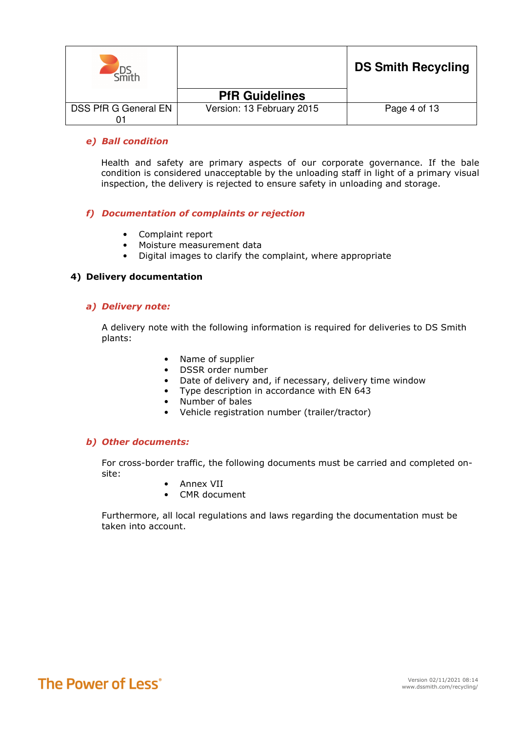|                      |                           | <b>DS Smith Recycling</b> |
|----------------------|---------------------------|---------------------------|
|                      | <b>PfR Guidelines</b>     |                           |
| DSS PfR G General EN | Version: 13 February 2015 | Page 4 of 13              |

### e) Ball condition

Health and safety are primary aspects of our corporate governance. If the bale condition is considered unacceptable by the unloading staff in light of a primary visual inspection, the delivery is rejected to ensure safety in unloading and storage.

#### f) Documentation of complaints or rejection

- Complaint report
- Moisture measurement data
- Digital images to clarify the complaint, where appropriate

#### 4) Delivery documentation

#### a) Delivery note:

A delivery note with the following information is required for deliveries to DS Smith plants:

- Name of supplier
- DSSR order number
- Date of delivery and, if necessary, delivery time window
- Type description in accordance with EN 643
- Number of bales
- Vehicle registration number (trailer/tractor)

#### b) Other documents:

For cross-border traffic, the following documents must be carried and completed onsite:

- Annex VII
- CMR document

Furthermore, all local regulations and laws regarding the documentation must be taken into account.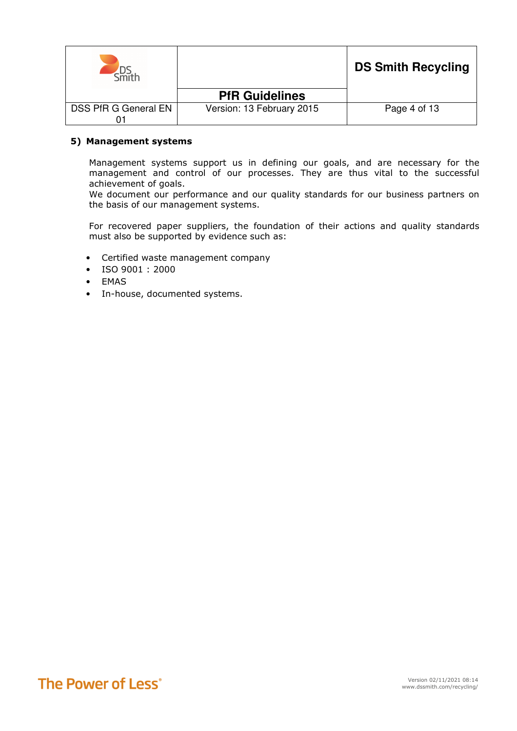|                      |                           | <b>DS Smith Recycling</b> |
|----------------------|---------------------------|---------------------------|
|                      | <b>PfR Guidelines</b>     |                           |
| DSS PfR G General EN | Version: 13 February 2015 | Page 4 of 13              |

### 5) Management systems

Management systems support us in defining our goals, and are necessary for the management and control of our processes. They are thus vital to the successful achievement of goals.

We document our performance and our quality standards for our business partners on the basis of our management systems.

For recovered paper suppliers, the foundation of their actions and quality standards must also be supported by evidence such as:

- Certified waste management company
- ISO 9001 : 2000
- EMAS
- In-house, documented systems.